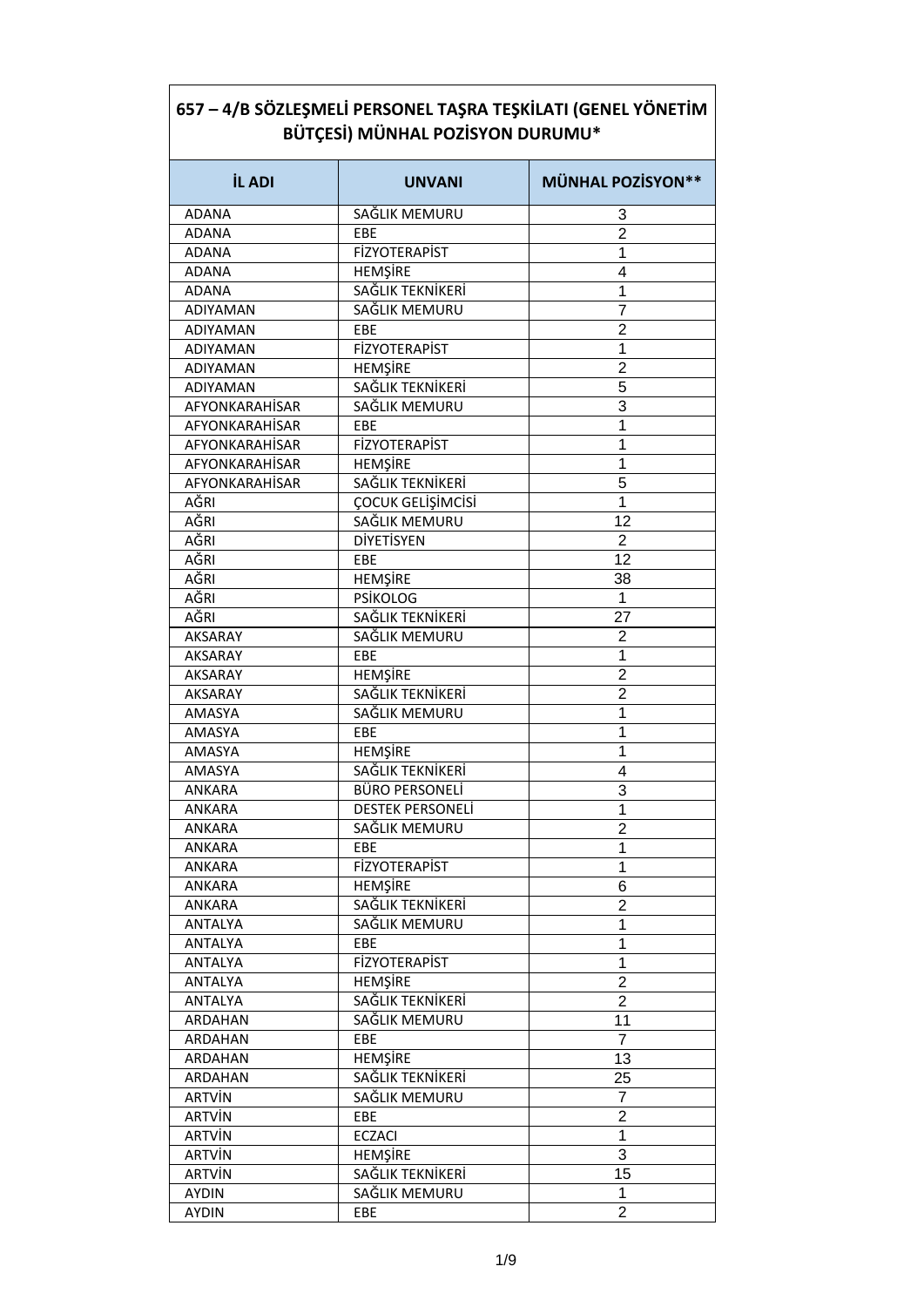| <b>İL ADI</b>   | <b>UNVANI</b>            | <b>MÜNHAL POZİSYON**</b> |
|-----------------|--------------------------|--------------------------|
| <b>ADANA</b>    | SAĞLIK MEMURU            | 3                        |
| ADANA           | EBE                      | $\overline{2}$           |
| <b>ADANA</b>    | <b>FİZYOTERAPİST</b>     | 1                        |
| <b>ADANA</b>    | <b>HEMŞİRE</b>           | 4                        |
| <b>ADANA</b>    | SAĞLIK TEKNİKERİ         | 1                        |
| <b>ADIYAMAN</b> | SAĞLIK MEMURU            | $\overline{7}$           |
| <b>ADIYAMAN</b> | EBE                      | $\overline{2}$           |
| <b>ADIYAMAN</b> | <b>FİZYOTERAPİST</b>     | 1                        |
| <b>ADIYAMAN</b> | HEMŞİRE                  | $\overline{2}$           |
| ADIYAMAN        | SAĞLIK TEKNİKERİ         | 5                        |
| AFYONKARAHİSAR  | SAĞLIK MEMURU            | 3                        |
| AFYONKARAHİSAR  | EBE                      | 1                        |
| AFYONKARAHİSAR  | <b>FİZYOTERAPİST</b>     | 1                        |
| AFYONKARAHISAR  | <b>HEMŞİRE</b>           | 1                        |
| AFYONKARAHISAR  | SAĞLIK TEKNİKERİ         | 5                        |
| AĞRI            | <b>COCUK GELISIMCISI</b> | 1                        |
| AĞRI            | SAĞLIK MEMURU            | 12                       |
| AĞRI            | DİYETİSYEN               | $\overline{2}$           |
| AĞRI            | EBE                      | 12                       |
| AĞRI            | HEMŞİRE                  | 38                       |
| AĞRI            | <b>PSİKOLOG</b>          | 1                        |
| AĞRI            | SAĞLIK TEKNİKERİ         | 27                       |
| AKSARAY         | SAĞLIK MEMURU            | $\overline{2}$           |
| <b>AKSARAY</b>  | EBE                      | 1                        |
| AKSARAY         | <b>HEMŞİRE</b>           | $\overline{2}$           |
| <b>AKSARAY</b>  | SAĞLIK TEKNİKERİ         | $\overline{2}$           |
| AMASYA          | SAĞLIK MEMURU            | 1                        |
| AMASYA          | EBE                      | 1                        |
| AMASYA          | <b>HEMŞİRE</b>           | 1                        |
| AMASYA          | SAĞLIK TEKNİKERİ         | 4                        |
| ANKARA          | BÜRO PERSONELİ           | 3                        |
| ANKARA          | <b>DESTEK PERSONELI</b>  | 1                        |
| ANKARA          | SAĞLIK MEMURU            | $\overline{2}$           |
| ANKARA          | EBE                      | 1                        |
| ANKARA          | <b>FİZYOTERAPİST</b>     | $\mathbf 1$              |
| ANKARA          | <b>HEMŞİRE</b>           | 6                        |
| ANKARA          | SAĞLIK TEKNİKERİ         | $\overline{2}$           |
| <b>ANTALYA</b>  | SAĞLIK MEMURU            | 1                        |
| <b>ANTALYA</b>  | <b>EBE</b>               | 1                        |
| <b>ANTALYA</b>  | <b>FİZYOTERAPİST</b>     | 1                        |
| ANTALYA         | <b>HEMŞİRE</b>           | $\overline{2}$           |
| ANTALYA         | SAĞLIK TEKNİKERİ         | $\overline{2}$           |
| ARDAHAN         | SAĞLIK MEMURU            | 11                       |
| ARDAHAN         | EBE                      | $\overline{7}$           |
| ARDAHAN         | <b>HEMŞİRE</b>           | 13                       |
| ARDAHAN         | SAĞLIK TEKNİKERİ         | 25                       |
| ARTVİN          | SAĞLIK MEMURU            | 7                        |
| <b>ARTVİN</b>   | EBE                      | $\overline{\mathbf{c}}$  |
| <b>ARTVİN</b>   | <b>ECZACI</b>            | $\mathbf{1}$             |
| <b>ARTVİN</b>   | <b>HEMŞİRE</b>           | 3                        |
| <b>ARTVİN</b>   | SAĞLIK TEKNİKERİ         | 15                       |
| <b>AYDIN</b>    | SAĞLIK MEMURU            | 1                        |
| <b>AYDIN</b>    | EBE                      | $\overline{2}$           |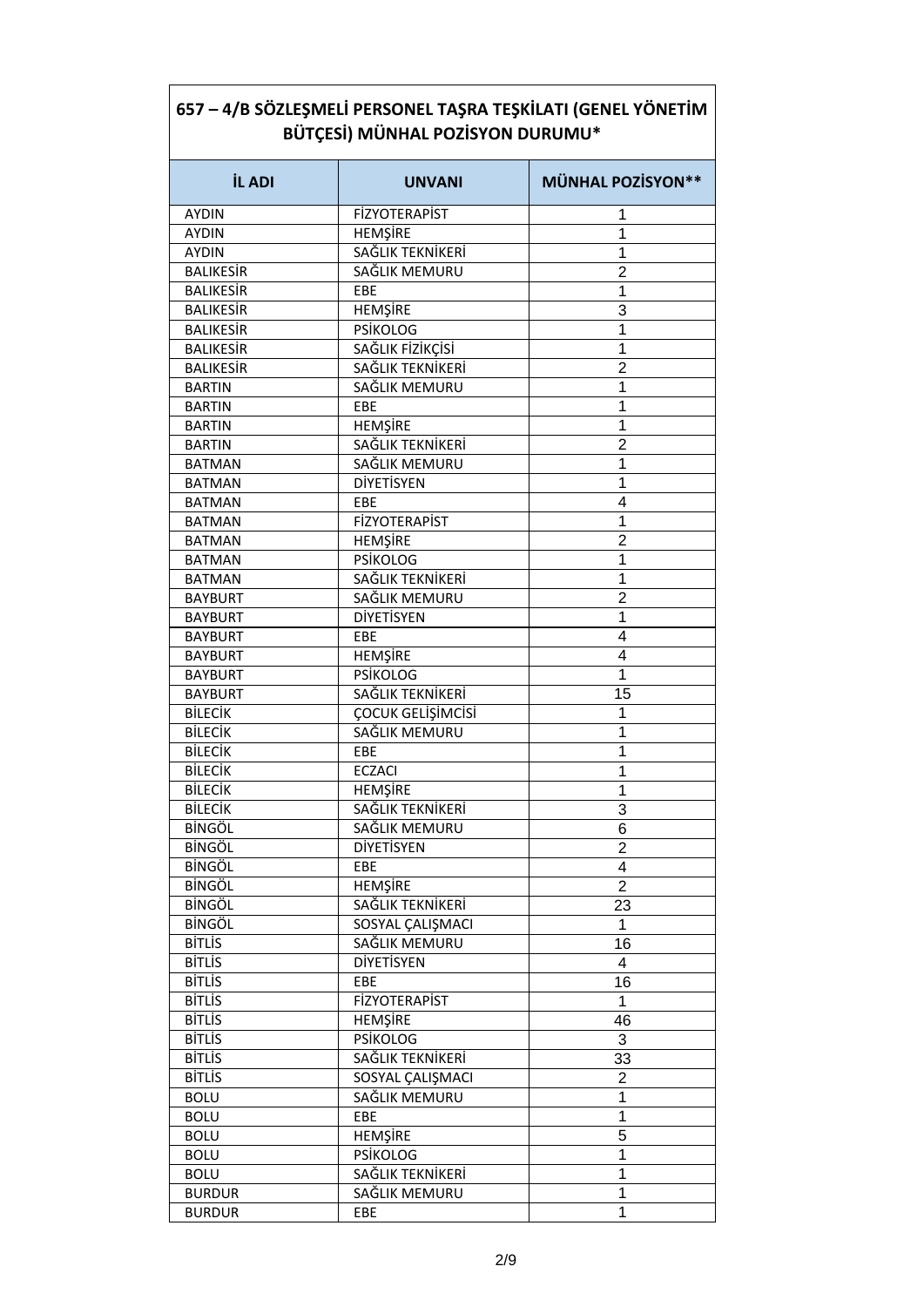| <b>İL ADI</b>    | <b>UNVANI</b>            | <b>MÜNHAL POZİSYON**</b> |
|------------------|--------------------------|--------------------------|
| <b>AYDIN</b>     | <b>FİZYOTERAPİST</b>     | 1                        |
| <b>AYDIN</b>     | <b>HEMŞİRE</b>           | 1                        |
| <b>AYDIN</b>     | SAĞLIK TEKNİKERİ         | 1                        |
| <b>BALIKESİR</b> | SAĞLIK MEMURU            | $\overline{2}$           |
| <b>BALIKESIR</b> | EBE                      | 1                        |
| <b>BALIKESIR</b> | HEMŞİRE                  | 3                        |
| <b>BALIKESIR</b> | <b>PSİKOLOG</b>          | 1                        |
| <b>BALIKESIR</b> | SAĞLIK FİZİKÇİSİ         | 1                        |
| <b>BALIKESIR</b> | SAĞLIK TEKNİKERİ         | $\overline{2}$           |
| <b>BARTIN</b>    | SAĞLIK MEMURU            | 1                        |
| <b>BARTIN</b>    | EBE                      | 1                        |
| <b>BARTIN</b>    | <b>HEMSIRE</b>           | 1                        |
| <b>BARTIN</b>    | SAĞLIK TEKNİKERİ         | $\overline{2}$           |
| <b>BATMAN</b>    | SAĞLIK MEMURU            | 1                        |
| <b>BATMAN</b>    | DİYETİSYEN               | 1                        |
| <b>BATMAN</b>    | EBE                      | 4                        |
| <b>BATMAN</b>    | <b>FİZYOTERAPİST</b>     | 1                        |
| <b>BATMAN</b>    | <b>HEMŞİRE</b>           | $\overline{2}$           |
| <b>BATMAN</b>    | <b>PSİKOLOG</b>          | 1                        |
| <b>BATMAN</b>    | SAĞLIK TEKNİKERİ         | 1                        |
| <b>BAYBURT</b>   | SAĞLIK MEMURU            | $\overline{2}$           |
| <b>BAYBURT</b>   | <b>DİYETİSYEN</b>        | 1                        |
| <b>BAYBURT</b>   | EBE                      | 4                        |
| <b>BAYBURT</b>   | HEMŞİRE                  | 4                        |
| <b>BAYBURT</b>   | <b>PSİKOLOG</b>          | 1                        |
| <b>BAYBURT</b>   | SAĞLIK TEKNİKERİ         | 15                       |
| <b>BİLECİK</b>   | <b>ÇOCUK GELİŞİMCİSİ</b> | 1                        |
| <b>BİLECİK</b>   | SAĞLIK MEMURU            | 1                        |
| <b>BİLECİK</b>   | EBE                      | 1                        |
| <b>BİLECİK</b>   | <b>ECZACI</b>            | 1                        |
| <b>BİLECİK</b>   | HEMŞİRE                  | 1                        |
| <b>BİLECİK</b>   | SAĞLIK TEKNİKERİ         | 3                        |
| <b>BİNGÖL</b>    | SAĞLIK MEMURU            | 6                        |
| <b>BİNGÖL</b>    | <b>DİYETİSYEN</b>        | $\overline{2}$           |
| <b>BİNGÖL</b>    | EBE                      | 4                        |
| <b>BİNGÖL</b>    | HEMŞİRE                  | $\overline{2}$           |
| <b>BİNGÖL</b>    | SAĞLIK TEKNİKERİ         | 23                       |
| <b>BİNGÖL</b>    | SOSYAL CALIŞMACI         | 1                        |
| <b>BİTLİS</b>    | SAĞLIK MEMURU            | 16                       |
| <b>BİTLİS</b>    | DİYETİSYEN               | $\overline{4}$           |
| <b>BİTLİS</b>    | EBE                      | 16                       |
| <b>BİTLİS</b>    | <b>FİZYOTERAPİST</b>     | 1                        |
| <b>BİTLİS</b>    | <b>HEMŞİRE</b>           | 46                       |
| <b>BİTLİS</b>    | <b>PSİKOLOG</b>          | 3                        |
| <b>BİTLİS</b>    | SAĞLIK TEKNİKERİ         | 33                       |
| <b>BİTLİS</b>    | SOSYAL ÇALIŞMACI         | $\overline{2}$           |
| <b>BOLU</b>      | SAĞLIK MEMURU            | 1                        |
|                  | EBE                      | 1                        |
| <b>BOLU</b>      |                          |                          |
| <b>BOLU</b>      | HEMŞİRE                  | 5                        |
| <b>BOLU</b>      | <b>PSİKOLOG</b>          | 1                        |
| <b>BOLU</b>      | SAĞLIK TEKNİKERİ         | 1                        |
| <b>BURDUR</b>    | SAĞLIK MEMURU            | 1                        |
| <b>BURDUR</b>    | EBE                      | 1                        |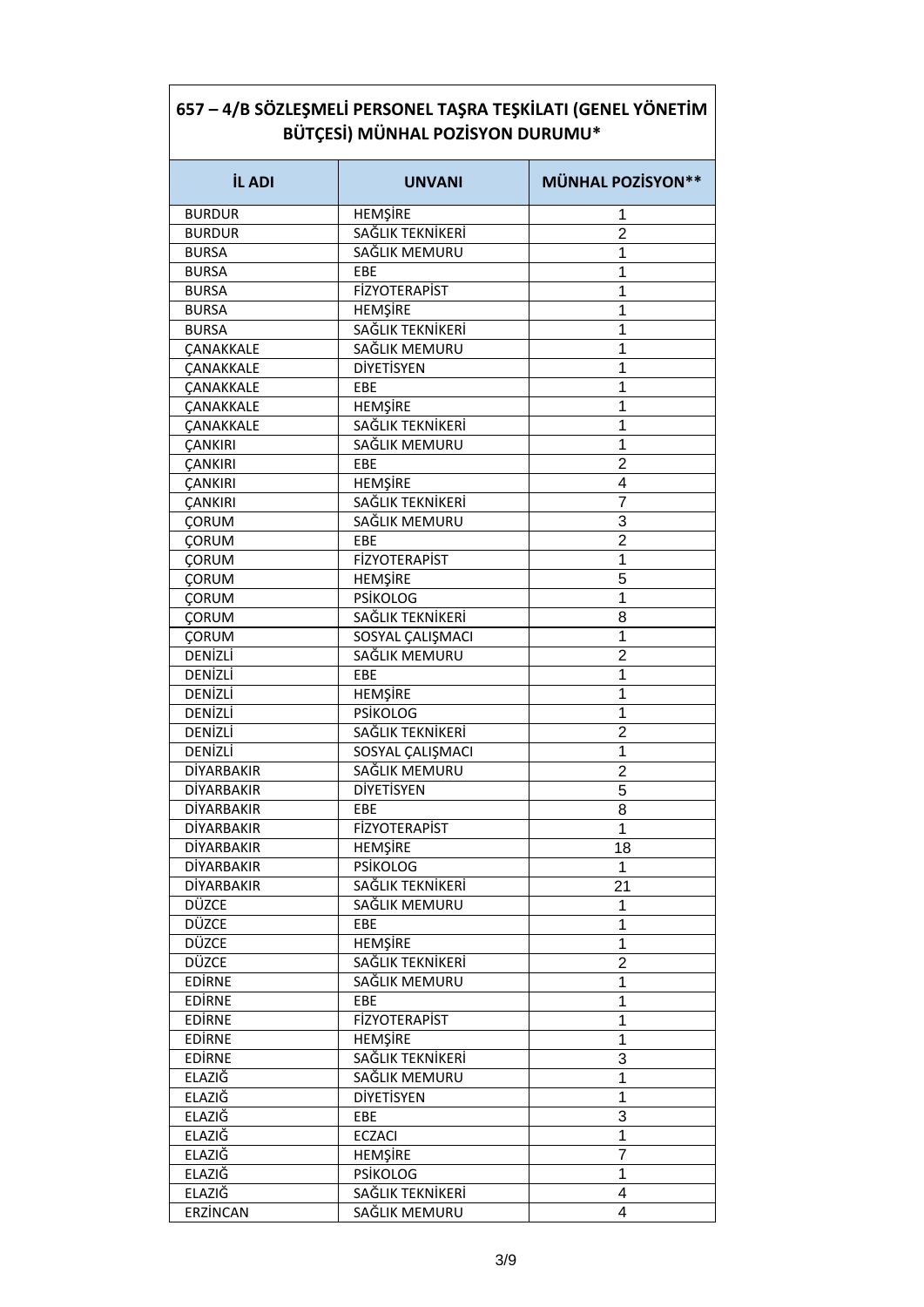| <b>İL ADI</b>     | <b>UNVANI</b>        | <b>MÜNHAL POZİSYON**</b> |
|-------------------|----------------------|--------------------------|
| <b>BURDUR</b>     | HEMŞİRE              | 1                        |
| <b>BURDUR</b>     | SAĞLIK TEKNİKERİ     | $\overline{2}$           |
| <b>BURSA</b>      | SAĞLIK MEMURU        | 1                        |
| <b>BURSA</b>      | EBE                  | 1                        |
| <b>BURSA</b>      | FİZYOTERAPİST        | 1                        |
| <b>BURSA</b>      | <b>HEMŞİRE</b>       | 1                        |
| <b>BURSA</b>      | SAĞLIK TEKNİKERİ     | 1                        |
| <b>ÇANAKKALE</b>  | SAĞLIK MEMURU        | 1                        |
| <b>ÇANAKKALE</b>  | DİYETİSYEN           | 1                        |
| <b>ÇANAKKALE</b>  | EBE                  | 1                        |
| <b>ÇANAKKALE</b>  | HEMŞİRE              | 1                        |
| <b>CANAKKALE</b>  | SAĞLIK TEKNİKERİ     | 1                        |
| <b>CANKIRI</b>    | SAĞLIK MEMURU        | 1                        |
| <b>CANKIRI</b>    | EBE                  | $\overline{2}$           |
|                   | HEMŞİRE              | 4                        |
| <b>ÇANKIRI</b>    | SAĞLIK TEKNİKERİ     | $\overline{7}$           |
| <b>ÇANKIRI</b>    |                      |                          |
| <b>ÇORUM</b>      | SAĞLIK MEMURU        | 3                        |
| ÇORUM             | <b>EBE</b>           | $\overline{2}$           |
| <b>CORUM</b>      | <b>FİZYOTERAPİST</b> | 1                        |
| <b>ÇORUM</b>      | <b>HEMŞİRE</b>       | 5                        |
| <b>ÇORUM</b>      | <b>PSİKOLOG</b>      | 1                        |
| ÇORUM             | SAĞLIK TEKNİKERİ     | 8                        |
| <b>ÇORUM</b>      | SOSYAL CALIŞMACI     | 1                        |
| DENİZLİ           | SAĞLIK MEMURU        | $\overline{2}$           |
| DENİZLİ           | EBE                  | 1                        |
| DENİZLİ           | HEMŞİRE              | 1                        |
| DENİZLİ           | <b>PSİKOLOG</b>      | 1                        |
| DENİZLİ           | SAĞLIK TEKNİKERİ     | $\overline{2}$           |
| DENİZLİ           | SOSYAL CALIŞMACI     | 1                        |
| <b>DİYARBAKIR</b> | SAĞLIK MEMURU        | $\overline{2}$           |
| DİYARBAKIR        | DİYETİSYEN           | $\overline{5}$           |
| DİYARBAKIR        | EBE                  | 8                        |
| <b>DİYARBAKIR</b> | FİZYOTERAPİST        | 1                        |
| <b>DİYARBAKIR</b> | <b>HEMŞİRE</b>       | 18                       |
| <b>DİYARBAKIR</b> | <b>PSİKOLOG</b>      | 1                        |
| <b>DİYARBAKIR</b> | SAĞLIK TEKNİKERİ     | 21                       |
| DÜZCE             | SAĞLIK MEMURU        | 1                        |
| DÜZCE             | EBE                  | 1                        |
| DÜZCE             | <b>HEMSIRE</b>       | 1                        |
| DÜZCE             | SAĞLIK TEKNİKERİ     | $\overline{2}$           |
| <b>EDIRNE</b>     | SAĞLIK MEMURU        | 1                        |
| <b>EDIRNE</b>     | EBE                  | 1                        |
| <b>EDIRNE</b>     | <b>FİZYOTERAPİST</b> | 1                        |
| <b>EDIRNE</b>     | <b>HEMŞİRE</b>       | 1                        |
| <b>EDIRNE</b>     | SAĞLIK TEKNİKERİ     | 3                        |
|                   |                      |                          |
| ELAZIĞ            | SAĞLIK MEMURU        | 1                        |
| <b>ELAZIG</b>     | <b>DİYETİSYEN</b>    | 1                        |
| ELAZIĞ            | EBE                  | 3                        |
| <b>ELAZIG</b>     | <b>ECZACI</b>        | 1                        |
| <b>ELAZIG</b>     | <b>HEMŞİRE</b>       | $\overline{7}$           |
| <b>ELAZIĞ</b>     | <b>PSİKOLOG</b>      | 1                        |
| ELAZIĞ            | SAĞLIK TEKNİKERİ     | 4                        |
| ERZİNCAN          | SAĞLIK MEMURU        | 4                        |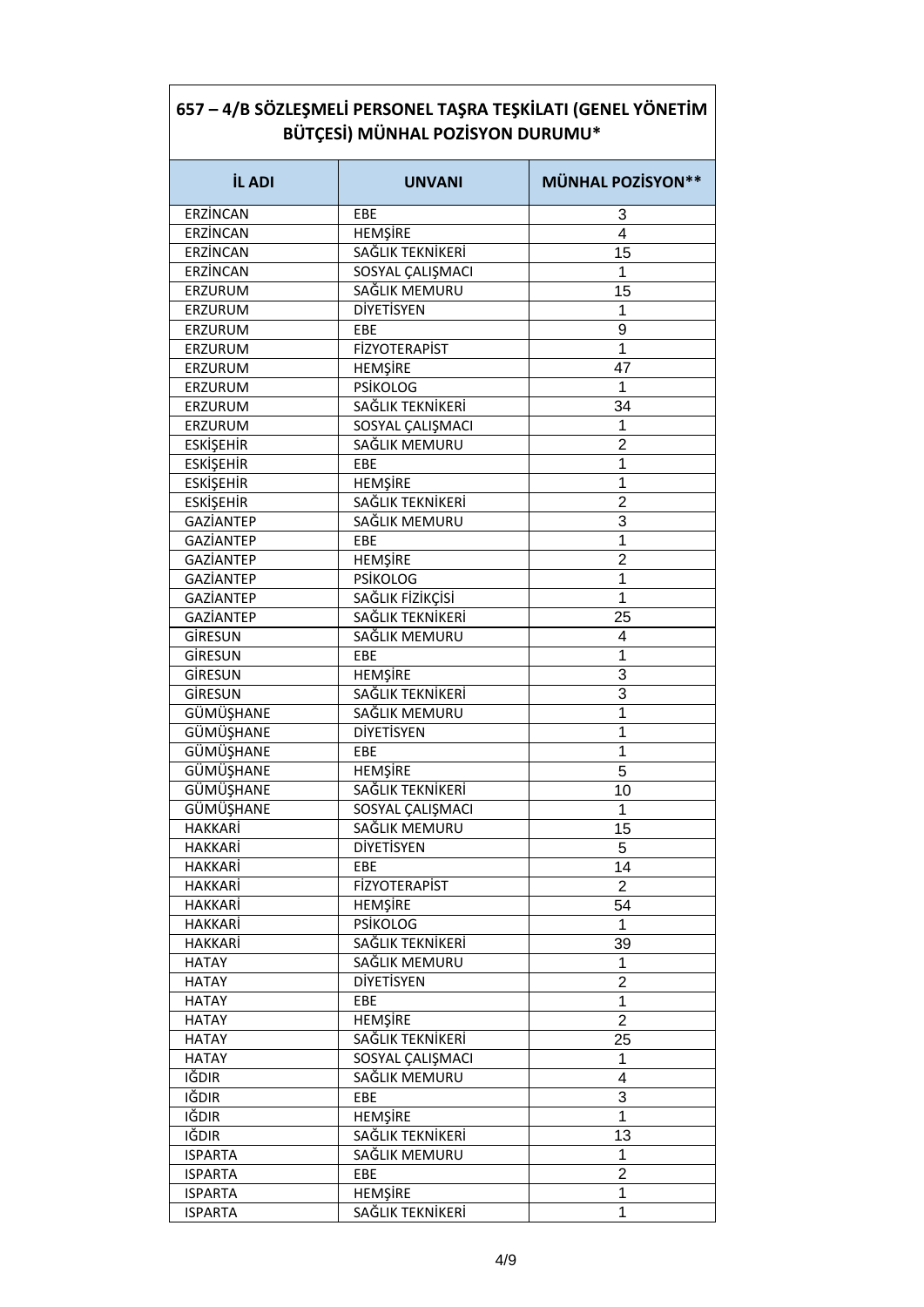| <b>İL ADI</b>    | <b>UNVANI</b>        | <b>MÜNHAL POZİSYON**</b> |
|------------------|----------------------|--------------------------|
| ERZİNCAN         | EBE                  | 3                        |
| ERZİNCAN         | <b>HEMŞİRE</b>       | 4                        |
| ERZİNCAN         | SAĞLIK TEKNİKERİ     | 15                       |
| ERZÍNCAN         | SOSYAL ÇALIŞMACI     | 1                        |
| ERZURUM          | SAĞLIK MEMURU        | 15                       |
| ERZURUM          | <b>DİYETİSYEN</b>    | 1                        |
| ERZURUM          | EBE                  | 9                        |
| ERZURUM          | FİZYOTERAPİST        | 1                        |
| ERZURUM          | HEMŞİRE              | 47                       |
| ERZURUM          | <b>PSİKOLOG</b>      | 1                        |
| ERZURUM          | SAĞLIK TEKNİKERİ     | 34                       |
| ERZURUM          | SOSYAL ÇALIŞMACI     | 1                        |
| <b>ESKİŞEHİR</b> | SAĞLIK MEMURU        | $\overline{2}$           |
| <b>ESKİŞEHİR</b> | EBE                  | 1                        |
| <b>ESKİŞEHİR</b> | HEMŞİRE              | 1                        |
| <b>ESKİŞEHİR</b> | SAĞLIK TEKNİKERİ     | $\overline{2}$           |
| GAZİANTEP        | SAĞLIK MEMURU        | 3                        |
| GAZİANTEP        | EBE                  | 1                        |
| GAZİANTEP        | HEMŞİRE              | $\overline{2}$           |
| GAZİANTEP        | <b>PSİKOLOG</b>      | 1                        |
| GAZİANTEP        | SAĞLIK FİZİKÇİSİ     | 1                        |
| GAZİANTEP        | SAĞLIK TEKNİKERİ     | 25                       |
| GİRESUN          | SAĞLIK MEMURU        | 4                        |
| GİRESUN          | EBE                  | 1                        |
| GİRESUN          | HEMŞİRE              | 3                        |
| GİRESUN          | SAĞLIK TEKNİKERİ     | 3                        |
| GÜMÜŞHANE        | SAĞLIK MEMURU        | 1                        |
| GÜMÜŞHANE        | DİYETİSYEN           | 1                        |
| GÜMÜŞHANE        | EBE                  | 1                        |
| GÜMÜŞHANE        | <b>HEMŞİRE</b>       | 5                        |
| GÜMÜŞHANE        | SAĞLIK TEKNİKERİ     | 10                       |
| GÜMÜŞHANE        | SOSYAL ÇALIŞMACI     | 1                        |
| HAKKARİ          | SAĞLIK MEMURU        | 15                       |
| HAKKARİ          | DİYETİSYEN           | 5                        |
| HAKKARİ          | EBE                  | 14                       |
| <b>HAKKARİ</b>   | <b>FİZYOTERAPİST</b> | $\overline{2}$           |
| <b>HAKKARİ</b>   | <b>HEMSIRE</b>       | 54                       |
| <b>HAKKARİ</b>   | <b>PSİKOLOG</b>      | 1                        |
| <b>HAKKARİ</b>   | SAĞLIK TEKNİKERİ     | 39                       |
| <b>HATAY</b>     | SAĞLIK MEMURU        | 1                        |
| <b>HATAY</b>     | DİYETİSYEN           | $\overline{2}$           |
| <b>HATAY</b>     | EBE                  | 1                        |
| <b>HATAY</b>     | HEMŞİRE              | $\overline{2}$           |
| <b>HATAY</b>     | SAĞLIK TEKNİKERİ     | 25                       |
| <b>HATAY</b>     | SOSYAL CALIŞMACI     | 1                        |
| IĞDIR            | SAĞLIK MEMURU        | 4                        |
| IĞDIR            | EBE                  | 3                        |
| IĞDIR            | <b>HEMŞİRE</b>       | 1                        |
| IĞDIR            | SAĞLIK TEKNİKERİ     | 13                       |
|                  | SAĞLIK MEMURU        | 1                        |
| <b>ISPARTA</b>   |                      |                          |
| <b>ISPARTA</b>   | EBE                  | $\overline{c}$           |
| <b>ISPARTA</b>   | <b>HEMŞİRE</b>       | 1                        |

٦

 $\sqrt{ }$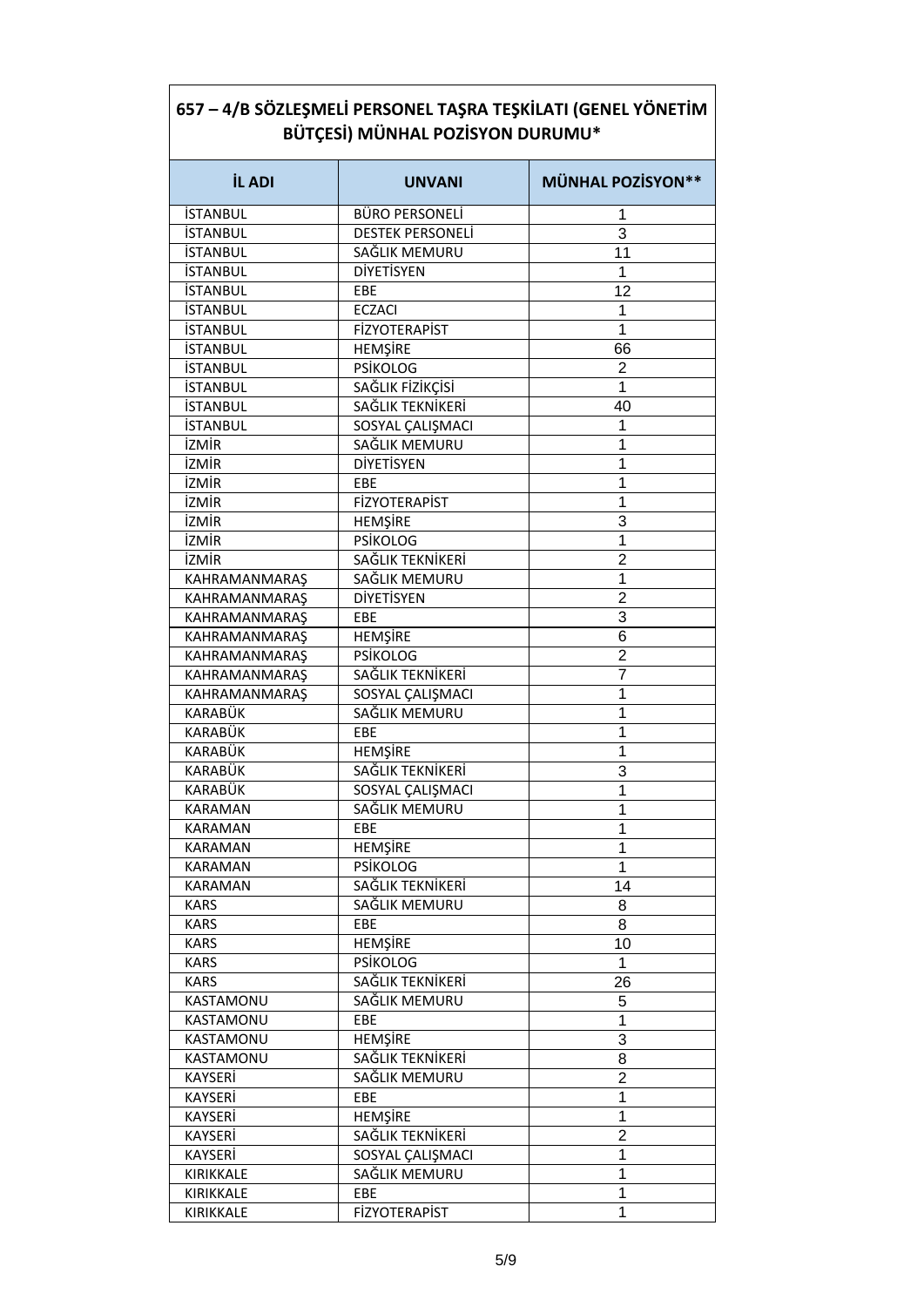| <b>İL ADI</b>   | <b>UNVANI</b>                     | <b>MÜNHAL POZİSYON**</b> |
|-----------------|-----------------------------------|--------------------------|
| <b>İSTANBUL</b> | <b>BÜRO PERSONELİ</b>             | 1                        |
| <b>İSTANBUL</b> | <b>DESTEK PERSONELİ</b>           | 3                        |
| <b>İSTANBUL</b> | SAĞLIK MEMURU                     | 11                       |
| <b>İSTANBUL</b> | <b>DİYETİSYEN</b>                 | 1                        |
| <b>İSTANBUL</b> | EBE                               | 12                       |
| <b>İSTANBUL</b> | <b>ECZACI</b>                     | 1                        |
| <b>İSTANBUL</b> | <b>FİZYOTERAPİST</b>              | 1                        |
| <b>İSTANBUL</b> | HEMŞİRE                           | 66                       |
| <b>İSTANBUL</b> | <b>PSİKOLOG</b>                   | $\overline{2}$           |
| <b>İSTANBUL</b> | SAĞLIK FİZİKÇİSİ                  | 1                        |
| <b>İSTANBUL</b> | SAĞLIK TEKNİKERİ                  | 40                       |
| <b>İSTANBUL</b> | SOSYAL ÇALIŞMACI                  | 1                        |
| İZMİR           | SAĞLIK MEMURU                     | 1                        |
| İZMİR           | <b>DİYETİSYEN</b>                 | 1                        |
| <b>İZMİR</b>    | EBE                               | 1                        |
| <b>İZMİR</b>    | <b>FİZYOTERAPİST</b>              | 1                        |
| <b>İZMİR</b>    | <b>HEMŞİRE</b>                    | 3                        |
| <b>İZMİR</b>    | <b>PSİKOLOG</b>                   | 1                        |
| <b>İZMİR</b>    | SAĞLIK TEKNİKERİ                  | $\overline{2}$           |
| KAHRAMANMARAŞ   | SAĞLIK MEMURU                     | 1                        |
| KAHRAMANMARAŞ   | <b>DİYETİSYEN</b>                 | $\overline{2}$           |
| KAHRAMANMARAŞ   | EBE                               | 3                        |
| KAHRAMANMARAŞ   | <b>HEMŞİRE</b>                    | 6                        |
|                 | <b>PSİKOLOG</b>                   | $\overline{2}$           |
| KAHRAMANMARAŞ   |                                   | 7                        |
| KAHRAMANMARAŞ   | SAĞLIK TEKNİKERİ                  |                          |
| KAHRAMANMARAŞ   | SOSYAL CALIŞMACI<br>SAĞLIK MEMURU | 1                        |
| KARABÜK         |                                   | 1                        |
| KARABÜK         | EBE                               | 1                        |
| KARABÜK         | <b>HEMŞİRE</b>                    | 1                        |
| KARABÜK         | SAĞLIK TEKNİKERİ                  | 3                        |
| KARABÜK         | SOSYAL ÇALIŞMACI                  | 1                        |
| KARAMAN         | SAĞLIK MEMURU                     | 1                        |
| <b>KARAMAN</b>  | EBE                               | 1                        |
| <b>KARAMAN</b>  | HEMŞİRE                           | 1                        |
| <b>KARAMAN</b>  | <b>PSİKOLOG</b>                   | 1                        |
| <b>KARAMAN</b>  | SAĞLIK TEKNİKERİ                  | 14                       |
| <b>KARS</b>     | SAĞLIK MEMURU                     | 8                        |
| <b>KARS</b>     | EBE                               | 8                        |
| <b>KARS</b>     | <b>HEMŞİRE</b>                    | 10                       |
| <b>KARS</b>     | <b>PSİKOLOG</b>                   | 1                        |
| <b>KARS</b>     | SAĞLIK TEKNİKERİ                  | 26                       |
| KASTAMONU       | SAĞLIK MEMURU                     | 5                        |
| KASTAMONU       | EBE                               | 1                        |
| KASTAMONU       | <b>HEMŞİRE</b>                    | 3                        |
| KASTAMONU       | SAĞLIK TEKNİKERİ                  | 8                        |
| <b>KAYSERİ</b>  | SAĞLIK MEMURU                     | $\overline{c}$           |
| KAYSERİ         | EBE                               | 1                        |
| KAYSERİ         | <b>HEMŞİRE</b>                    | 1                        |
| KAYSERİ         | SAĞLIK TEKNİKERİ                  | $\overline{2}$           |
| KAYSERİ         | SOSYAL ÇALIŞMACI                  | 1                        |
| KIRIKKALE       | SAĞLIK MEMURU                     | 1                        |
| KIRIKKALE       | EBE                               | 1                        |
| KIRIKKALE       | <b>FİZYOTERAPİST</b>              | 1                        |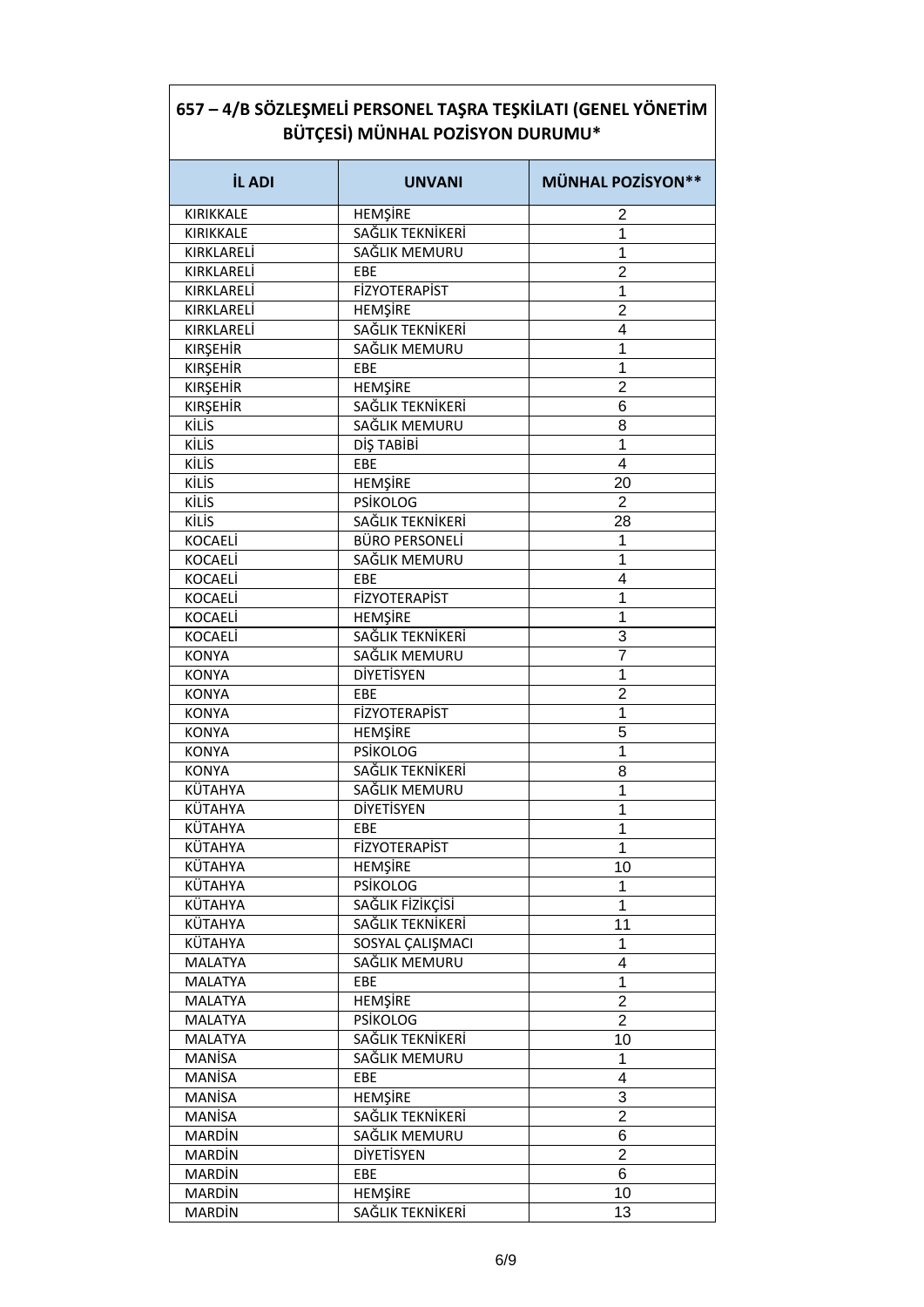| 657 – 4/B SÖZLEŞMELİ PERSONEL TAŞRA TEŞKİLATI (GENEL YÖNETİM<br>BÜTÇESİ) MÜNHAL POZİSYON DURUMU* |                       |                          |
|--------------------------------------------------------------------------------------------------|-----------------------|--------------------------|
| <b>İL ADI</b>                                                                                    | <b>UNVANI</b>         | <b>MÜNHAL POZİSYON**</b> |
| <b>KIRIKKALE</b>                                                                                 | HEMŞİRE               | 2                        |
| <b>KIRIKKALE</b>                                                                                 | SAĞLIK TEKNİKERİ      | 1                        |
| KIRKLARELİ                                                                                       | SAĞLIK MEMURU         | 1                        |
| KIRKLARELİ                                                                                       | EBE                   | $\overline{2}$           |
| KIRKLARELİ                                                                                       | <b>FİZYOTERAPİST</b>  | 1                        |
| KIRKLARELİ                                                                                       | <b>HEMŞİRE</b>        | $\overline{2}$           |
| KIRKLARELİ                                                                                       | SAĞLIK TEKNİKERİ      | 4                        |
| <b>KIRŞEHİR</b>                                                                                  | SAĞLIK MEMURU         | 1                        |
| <b>KIRŞEHİR</b>                                                                                  | EBE                   | 1                        |
| <b>KIRŞEHİR</b>                                                                                  | <b>HEMŞİRE</b>        | $\overline{2}$           |
| <b>KIRSEHİR</b>                                                                                  | SAĞLIK TEKNİKERİ      | 6                        |
| KİLİS                                                                                            | SAĞLIK MEMURU         | 8                        |
| KİLİS                                                                                            | DİŞ TABİBİ            | 1                        |
| KİLİS                                                                                            | EBE                   | 4                        |
| KİLİS                                                                                            | HEMŞİRE               | 20                       |
| KİLİS                                                                                            | <b>PSİKOLOG</b>       | $\overline{2}$           |
| KİLİS                                                                                            | SAĞLIK TEKNİKERİ      | 28                       |
| <b>KOCAELİ</b>                                                                                   | <b>BÜRO PERSONELİ</b> | 1                        |
| KOCAELİ                                                                                          | SAĞLIK MEMURU         | 1                        |
| <b>KOCAELI</b>                                                                                   | EBE                   | 4                        |
| <b>KOCAELI</b>                                                                                   | <b>FİZYOTERAPİST</b>  | 1                        |
| <b>KOCAELI</b>                                                                                   | <b>HEMŞİRE</b>        | 1                        |
| <b>KOCAELİ</b>                                                                                   | SAĞLIK TEKNİKERİ      | 3                        |
| <b>KONYA</b>                                                                                     | SAĞLIK MEMURU         | 7                        |
| <b>KONYA</b>                                                                                     | <b>DİYETİSYEN</b>     | 1                        |
| <b>KONYA</b>                                                                                     | EBE                   | 2                        |
| <b>KONYA</b>                                                                                     | <b>FİZYOTERAPİST</b>  | 1                        |
| <b>KONYA</b>                                                                                     | HEMŞİRE               | 5                        |
| <b>KONYA</b>                                                                                     | <b>PSİKOLOG</b>       | 1                        |
| <b>KONYA</b>                                                                                     | SAĞLIK TEKNİKERİ      | 8                        |
| KÜTAHYA                                                                                          | SAĞLIK MEMURU         | 1                        |
| KÜTAHYA                                                                                          | <b>DİYETİSYEN</b>     | 1                        |
| KÜTAHYA                                                                                          | EBE                   | 1                        |
| KÜTAHYA                                                                                          | <b>FİZYOTERAPİST</b>  | 1                        |
| KÜTAHYA                                                                                          | <b>HEMŞİRE</b>        | 10                       |
| KÜTAHYA                                                                                          | <b>PSİKOLOG</b>       | 1                        |
| KÜTAHYA                                                                                          | SAĞLIK FİZİKÇİSİ      | 1                        |
| KÜTAHYA                                                                                          | SAĞLIK TEKNİKERİ      | 11                       |
| KÜTAHYA                                                                                          | SOSYAL CALISMACI      | 1                        |
| <b>MALATYA</b>                                                                                   | SAĞLIK MEMURU         | 4                        |
| MALATYA                                                                                          | EBE                   | 1                        |
| MALATYA                                                                                          | HEMŞİRE               | $\overline{c}$           |
| MALATYA                                                                                          | <b>PSİKOLOG</b>       | $\overline{2}$           |
| MALATYA                                                                                          | SAĞLIK TEKNİKERİ      | 10                       |
| <b>MANISA</b>                                                                                    | SAĞLIK MEMURU         | 1                        |
| <b>MANISA</b>                                                                                    | EBE                   | 4                        |
| MANISA                                                                                           | <b>HEMŞİRE</b>        | 3                        |
| MANISA                                                                                           | SAĞLIK TEKNİKERİ      | $\overline{2}$           |
| <b>MARDİN</b>                                                                                    | SAĞLIK MEMURU         | 6                        |
| <b>MARDIN</b>                                                                                    | DİYETİSYEN            | $\overline{c}$           |
| <b>MARDİN</b>                                                                                    | EBE                   | 6                        |
| <b>MARDİN</b>                                                                                    | <b>HEMŞİRE</b>        | 10                       |
| <b>MARDİN</b>                                                                                    | SAĞLIK TEKNİKERİ      | 13                       |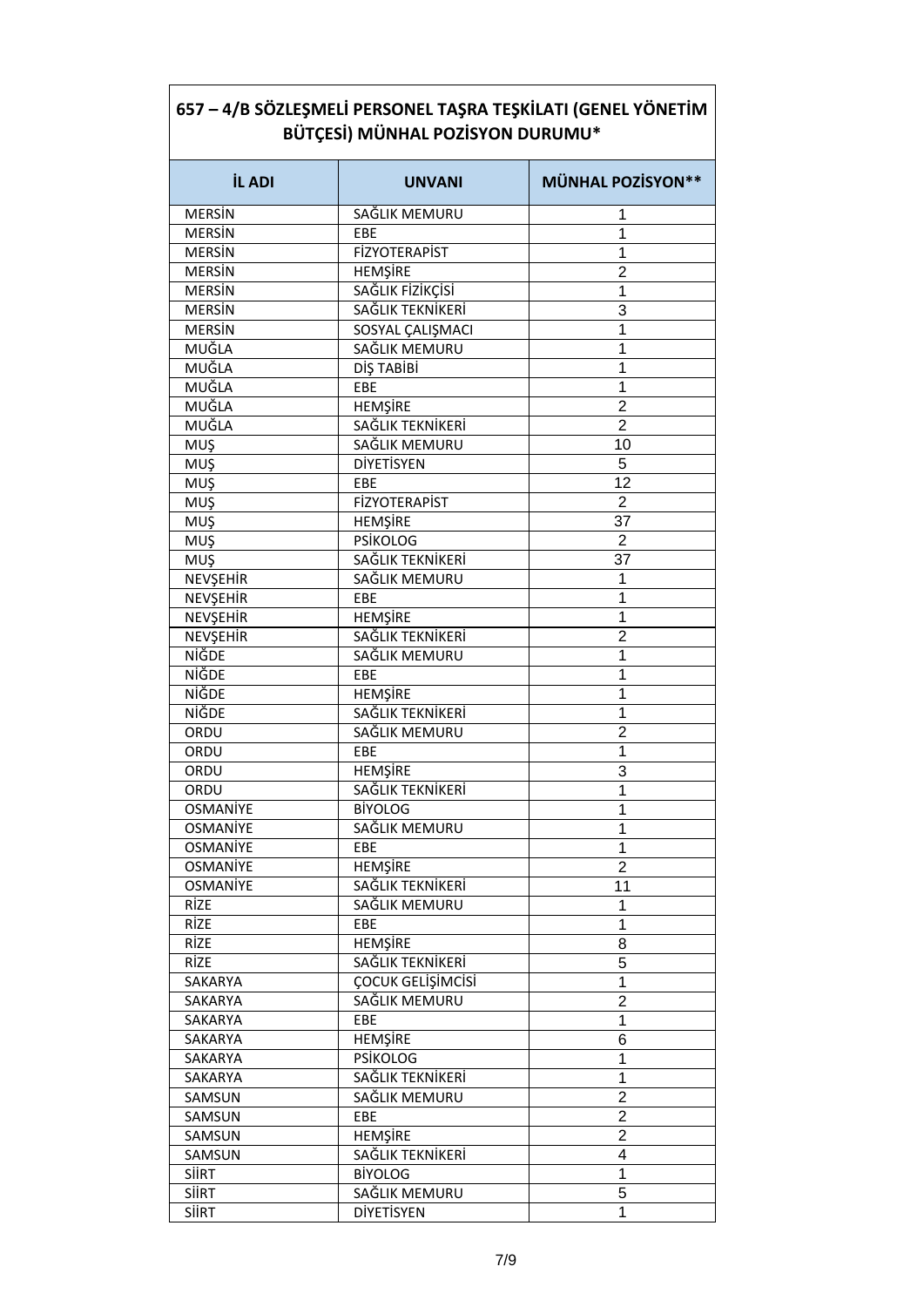| <b>İL ADI</b>   | <b>UNVANI</b>        | <b>MÜNHAL POZİSYON**</b> |
|-----------------|----------------------|--------------------------|
| <b>MERSIN</b>   | SAĞLIK MEMURU        | 1                        |
| <b>MERSIN</b>   | EBE                  | 1                        |
| <b>MERSIN</b>   | <b>FİZYOTERAPİST</b> | 1                        |
| <b>MERSIN</b>   | <b>HEMŞİRE</b>       | $\overline{2}$           |
| <b>MERSIN</b>   | SAĞLIK FİZİKÇİSİ     | 1                        |
| <b>MERSIN</b>   | SAĞLIK TEKNİKERİ     | 3                        |
| <b>MERSIN</b>   | SOSYAL ÇALIŞMACI     | 1                        |
| <b>MUĞLA</b>    | SAĞLIK MEMURU        | 1                        |
| MUĞLA           | DİŞ TABİBİ           | 1                        |
| MUĞLA           | EBE                  | 1                        |
| MUĞLA           | <b>HEMŞİRE</b>       | $\overline{2}$           |
| MUĞLA           | SAĞLIK TEKNİKERİ     | $\overline{2}$           |
| MUŞ             | SAĞLIK MEMURU        | 10                       |
| MUŞ             | <b>DİYETİSYEN</b>    | 5                        |
| MUŞ             | EBE                  | 12                       |
| MUŞ             | <b>FİZYOTERAPİST</b> | $\overline{2}$           |
| MUŞ             | <b>HEMŞİRE</b>       | 37                       |
| MUŞ             | <b>PSİKOLOG</b>      | $\overline{2}$           |
| <b>MUŞ</b>      | SAĞLIK TEKNİKERİ     | 37                       |
| NEVŞEHİR        | SAĞLIK MEMURU        | 1                        |
| NEVŞEHİR        | EBE                  | 1                        |
| NEVŞEHİR        | HEMŞİRE              | 1                        |
| NEVŞEHİR        | SAĞLIK TEKNİKERİ     | $\overline{2}$           |
| NİĞDE           | SAĞLIK MEMURU        | 1                        |
| NİĞDE           | EBE                  | 1                        |
| NİĞDE           | HEMŞİRE              | 1                        |
| NİĞDE           | SAĞLIK TEKNİKERİ     | 1                        |
| ORDU            | SAĞLIK MEMURU        | $\overline{2}$           |
| ORDU            | EBE                  | 1                        |
| ORDU            | <b>HEMŞİRE</b>       | 3                        |
| ORDU            | SAĞLIK TEKNİKERİ     | 1                        |
| OSMANIYE        | <b>BIYOLOG</b>       | 1                        |
| <b>OSMANIYE</b> | SAĞLIK MEMURU        | 1                        |
| <b>OSMANİYE</b> | EBE                  | 1                        |
| <b>OSMANİYE</b> | <b>HEMSIRE</b>       | $\overline{2}$           |
| <b>OSMANİYE</b> | SAĞLIK TEKNİKERİ     | 11                       |
| RİZE            | SAĞLIK MEMURU        | 1                        |
| RİZE            | EBE                  | 1                        |
| RİZE            | <b>HEMŞİRE</b>       | 8                        |
| <b>RİZE</b>     | SAĞLIK TEKNİKERİ     | 5                        |
| SAKARYA         | ÇOCUK GELİŞİMCİSİ    | $\mathbf 1$              |
| SAKARYA         | SAĞLIK MEMURU        | 2                        |
| SAKARYA         | EBE                  | $\overline{1}$           |
| SAKARYA         | HEMŞİRE              | 6                        |
| SAKARYA         | <b>PSİKOLOG</b>      | 1                        |
| SAKARYA         | SAĞLIK TEKNİKERİ     | 1                        |
| SAMSUN          | SAĞLIK MEMURU        | $\overline{2}$           |
| SAMSUN          | EBE                  | $\overline{c}$           |
| SAMSUN          | <b>HEMŞİRE</b>       | $\overline{2}$           |
| SAMSUN          | SAĞLIK TEKNİKERİ     | 4                        |
| <b>SIIRT</b>    | <b>BİYOLOG</b>       | 1                        |
| <b>SIIRT</b>    | SAĞLIK MEMURU        | 5                        |
| SİİRT           | DİYETİSYEN           | 1                        |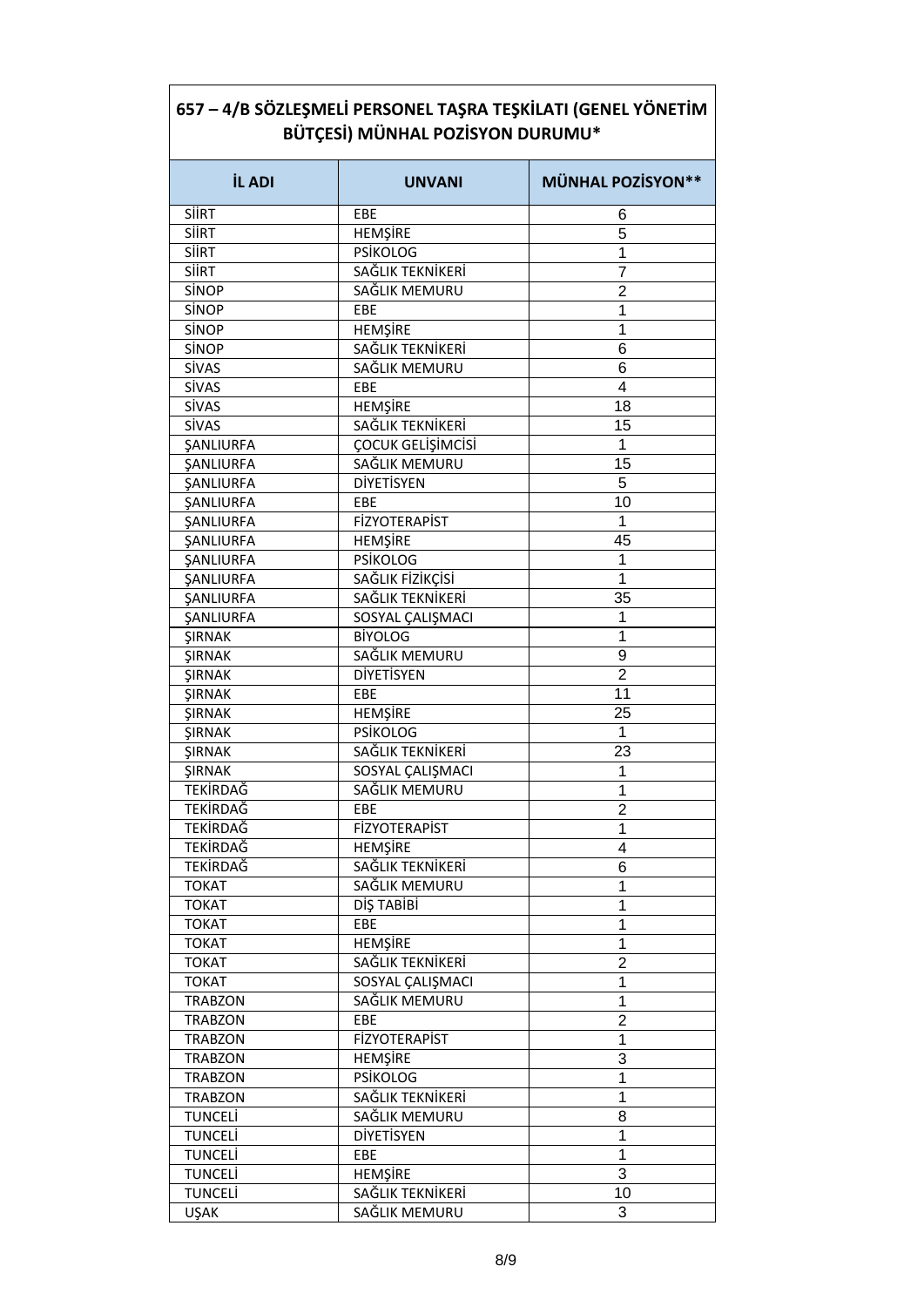| <b>İL ADI</b>           | <b>UNVANI</b>        | <b>MÜNHAL POZİSYON**</b> |
|-------------------------|----------------------|--------------------------|
| <b>SIIRT</b>            | EBE                  | 6                        |
| <b>SIIRT</b>            | <b>HEMŞİRE</b>       | 5                        |
| SİİRT                   | <b>PSİKOLOG</b>      | 1                        |
| <b>SIIRT</b>            | SAĞLIK TEKNİKERİ     | 7                        |
| SİNOP                   | SAĞLIK MEMURU        | $\overline{2}$           |
| SİNOP                   | EBE                  | 1                        |
| SİNOP                   | HEMŞİRE              | 1                        |
| SİNOP                   | SAĞLIK TEKNİKERİ     | 6                        |
| SİVAS                   | SAĞLIK MEMURU        | 6                        |
| SİVAS                   | EBE                  | 4                        |
| <b>SİVAS</b>            | HEMŞİRE              | 18                       |
| <b>SİVAS</b>            | SAĞLIK TEKNİKERİ     | 15                       |
| ŞANLIURFA               | ÇOCUK GELİŞİMCİSİ    | 1                        |
| <b><i>ŞANLIURFA</i></b> | SAĞLIK MEMURU        | 15                       |
| <b><i>ŞANLIURFA</i></b> | <b>DİYETİSYEN</b>    | 5                        |
| <b><i>ŞANLIURFA</i></b> | EBE                  | 10                       |
| <b><i>ŞANLIURFA</i></b> | <b>FİZYOTERAPİST</b> | 1                        |
| <b><i>ŞANLIURFA</i></b> | <b>HEMŞİRE</b>       | 45                       |
| ŞANLIURFA               | <b>PSİKOLOG</b>      | 1                        |
| <b><i>ŞANLIURFA</i></b> | SAĞLIK FİZİKÇİSİ     | 1                        |
| <b><i>ŞANLIURFA</i></b> | SAĞLIK TEKNİKERİ     | 35                       |
|                         | SOSYAL CALIŞMACI     | 1                        |
| <b><i>ŞANLIURFA</i></b> | <b>BİYOLOG</b>       | 1                        |
| <b>ŞIRNAK</b>           | SAĞLIK MEMURU        | 9                        |
| <b>ŞIRNAK</b>           |                      |                          |
| <b>ŞIRNAK</b>           | DİYETİSYEN           | $\overline{2}$           |
| <b>ŞIRNAK</b>           | EBE                  | 11                       |
| ŞIRNAK                  | HEMŞİRE              | 25<br>1                  |
| <b>ŞIRNAK</b>           | <b>PSİKOLOG</b>      |                          |
| ŞIRNAK                  | SAĞLIK TEKNİKERİ     | 23                       |
| ŞIRNAK                  | SOSYAL CALIŞMACI     | 1                        |
| TEKİRDAĞ                | SAĞLIK MEMURU        | 1                        |
| <b>TEKİRDAĞ</b>         | EBE                  | $\overline{2}$           |
| TEKİRDAĞ                | FİZYOTERAPİST        | 1                        |
| <b>TEKİRDAĞ</b>         | <b>HEMŞİRE</b>       | 4                        |
| <b>TEKİRDAĞ</b>         | SAĞLIK TEKNİKERİ     | 6                        |
| <b>TOKAT</b>            | SAĞLIK MEMURU        | 1                        |
| <b>TOKAT</b>            | DİŞ TABİBİ           | 1                        |
| <b>TOKAT</b>            | EBE                  | 1                        |
| <b>TOKAT</b>            | <b>HEMŞİRE</b>       | 1                        |
| <b>TOKAT</b>            | SAĞLIK TEKNİKERİ     | $\overline{2}$           |
| <b>TOKAT</b>            | SOSYAL ÇALIŞMACI     | 1                        |
| <b>TRABZON</b>          | SAĞLIK MEMURU        | 1                        |
| <b>TRABZON</b>          | EBE                  | $\overline{2}$           |
| <b>TRABZON</b>          | <b>FİZYOTERAPİST</b> | $\mathbf 1$              |
| <b>TRABZON</b>          | <b>HEMŞİRE</b>       | 3                        |
| <b>TRABZON</b>          | <b>PSİKOLOG</b>      | 1                        |
| <b>TRABZON</b>          | SAĞLIK TEKNİKERİ     | 1                        |
| <b>TUNCELİ</b>          | SAĞLIK MEMURU        | 8                        |
| <b>TUNCELI</b>          | <b>DİYETİSYEN</b>    | 1                        |
| <b>TUNCELI</b>          | EBE                  | 1                        |
| <b>TUNCELİ</b>          | <b>HEMŞİRE</b>       | 3                        |
| <b>TUNCELİ</b>          | SAĞLIK TEKNİKERİ     | 10                       |
| <b>UŞAK</b>             | SAĞLIK MEMURU        | 3                        |